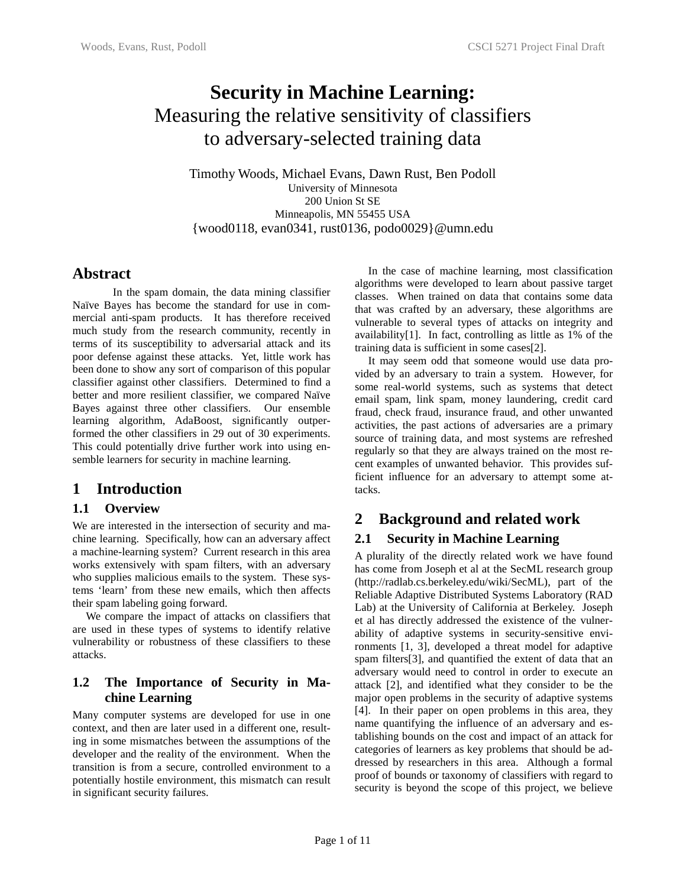# **Security in Machine Learning:**  Measuring the relative sensitivity of classifiers to adversary-selected training data

Timothy Woods, Michael Evans, Dawn Rust, Ben Podoll University of Minnesota 200 Union St SE Minneapolis, MN 55455 USA {wood0118, evan0341, rust0136, podo0029}@umn.edu

# **Abstract**

In the spam domain, the data mining classifier Naïve Bayes has become the standard for use in commercial anti-spam products. It has therefore received much study from the research community, recently in terms of its susceptibility to adversarial attack and its poor defense against these attacks. Yet, little work has been done to show any sort of comparison of this popular classifier against other classifiers. Determined to find a better and more resilient classifier, we compared Naïve Bayes against three other classifiers. Our ensemble learning algorithm, AdaBoost, significantly outperformed the other classifiers in 29 out of 30 experiments. This could potentially drive further work into using ensemble learners for security in machine learning.

# **1 Introduction**

# **1.1 Overview**

We are interested in the intersection of security and machine learning. Specifically, how can an adversary affect a machine-learning system? Current research in this area works extensively with spam filters, with an adversary who supplies malicious emails to the system. These systems 'learn' from these new emails, which then affects their spam labeling going forward.

We compare the impact of attacks on classifiers that are used in these types of systems to identify relative vulnerability or robustness of these classifiers to these attacks.

#### **1.2 The Importance of Security in Machine Learning**

Many computer systems are developed for use in one context, and then are later used in a different one, resulting in some mismatches between the assumptions of the developer and the reality of the environment. When the transition is from a secure, controlled environment to a potentially hostile environment, this mismatch can result in significant security failures.

In the case of machine learning, most classification algorithms were developed to learn about passive target classes. When trained on data that contains some data that was crafted by an adversary, these algorithms are vulnerable to several types of attacks on integrity and availability[1]. In fact, controlling as little as 1% of the training data is sufficient in some cases[2].

It may seem odd that someone would use data provided by an adversary to train a system. However, for some real-world systems, such as systems that detect email spam, link spam, money laundering, credit card fraud, check fraud, insurance fraud, and other unwanted activities, the past actions of adversaries are a primary source of training data, and most systems are refreshed regularly so that they are always trained on the most recent examples of unwanted behavior. This provides sufficient influence for an adversary to attempt some attacks.

# **2 Background and related work**

# **2.1 Security in Machine Learning**

A plurality of the directly related work we have found has come from Joseph et al at the SecML research group (http://radlab.cs.berkeley.edu/wiki/SecML), part of the Reliable Adaptive Distributed Systems Laboratory (RAD Lab) at the University of California at Berkeley. Joseph et al has directly addressed the existence of the vulnerability of adaptive systems in security-sensitive environments [1, 3], developed a threat model for adaptive spam filters[3], and quantified the extent of data that an adversary would need to control in order to execute an attack [2], and identified what they consider to be the major open problems in the security of adaptive systems [4]. In their paper on open problems in this area, they name quantifying the influence of an adversary and establishing bounds on the cost and impact of an attack for categories of learners as key problems that should be addressed by researchers in this area. Although a formal proof of bounds or taxonomy of classifiers with regard to security is beyond the scope of this project, we believe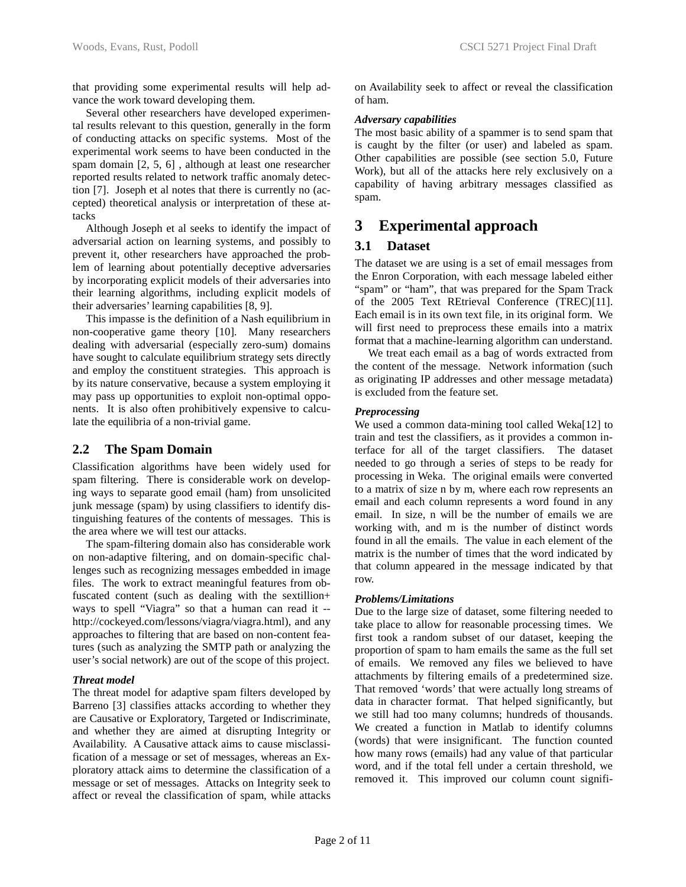that providing some experimental results will help advance the work toward developing them.

Several other researchers have developed experimental results relevant to this question, generally in the form of conducting attacks on specific systems. Most of the experimental work seems to have been conducted in the spam domain [2, 5, 6] , although at least one researcher reported results related to network traffic anomaly detection [7]. Joseph et al notes that there is currently no (accepted) theoretical analysis or interpretation of these attacks

Although Joseph et al seeks to identify the impact of adversarial action on learning systems, and possibly to prevent it, other researchers have approached the problem of learning about potentially deceptive adversaries by incorporating explicit models of their adversaries into their learning algorithms, including explicit models of their adversaries' learning capabilities [8, 9].

This impasse is the definition of a Nash equilibrium in non-cooperative game theory [10]. Many researchers dealing with adversarial (especially zero-sum) domains have sought to calculate equilibrium strategy sets directly and employ the constituent strategies. This approach is by its nature conservative, because a system employing it may pass up opportunities to exploit non-optimal opponents. It is also often prohibitively expensive to calculate the equilibria of a non-trivial game.

### **2.2 The Spam Domain**

Classification algorithms have been widely used for spam filtering. There is considerable work on developing ways to separate good email (ham) from unsolicited junk message (spam) by using classifiers to identify distinguishing features of the contents of messages. This is the area where we will test our attacks.

The spam-filtering domain also has considerable work on non-adaptive filtering, and on domain-specific challenges such as recognizing messages embedded in image files. The work to extract meaningful features from obfuscated content (such as dealing with the sextillion+ ways to spell "Viagra" so that a human can read it - http://cockeyed.com/lessons/viagra/viagra.html), and any approaches to filtering that are based on non-content features (such as analyzing the SMTP path or analyzing the user's social network) are out of the scope of this project.

#### *Threat model*

The threat model for adaptive spam filters developed by Barreno [3] classifies attacks according to whether they are Causative or Exploratory, Targeted or Indiscriminate, and whether they are aimed at disrupting Integrity or Availability. A Causative attack aims to cause misclassification of a message or set of messages, whereas an Exploratory attack aims to determine the classification of a message or set of messages. Attacks on Integrity seek to affect or reveal the classification of spam, while attacks on Availability seek to affect or reveal the classification of ham.

#### *Adversary capabilities*

The most basic ability of a spammer is to send spam that is caught by the filter (or user) and labeled as spam. Other capabilities are possible (see section 5.0, Future Work), but all of the attacks here rely exclusively on a capability of having arbitrary messages classified as spam.

# **3 Experimental approach**

#### **3.1 Dataset**

The dataset we are using is a set of email messages from the Enron Corporation, with each message labeled either "spam" or "ham", that was prepared for the Spam Track of the 2005 Text REtrieval Conference (TREC)[11]. Each email is in its own text file, in its original form. We will first need to preprocess these emails into a matrix format that a machine-learning algorithm can understand.

We treat each email as a bag of words extracted from the content of the message. Network information (such as originating IP addresses and other message metadata) is excluded from the feature set.

#### *Preprocessing*

We used a common data-mining tool called Weka[12] to train and test the classifiers, as it provides a common interface for all of the target classifiers. The dataset needed to go through a series of steps to be ready for processing in Weka. The original emails were converted to a matrix of size n by m, where each row represents an email and each column represents a word found in any email. In size, n will be the number of emails we are working with, and m is the number of distinct words found in all the emails. The value in each element of the matrix is the number of times that the word indicated by that column appeared in the message indicated by that row.

#### *Problems/Limitations*

Due to the large size of dataset, some filtering needed to take place to allow for reasonable processing times. We first took a random subset of our dataset, keeping the proportion of spam to ham emails the same as the full set of emails. We removed any files we believed to have attachments by filtering emails of a predetermined size. That removed 'words' that were actually long streams of data in character format. That helped significantly, but we still had too many columns; hundreds of thousands. We created a function in Matlab to identify columns (words) that were insignificant. The function counted how many rows (emails) had any value of that particular word, and if the total fell under a certain threshold, we removed it. This improved our column count signifi-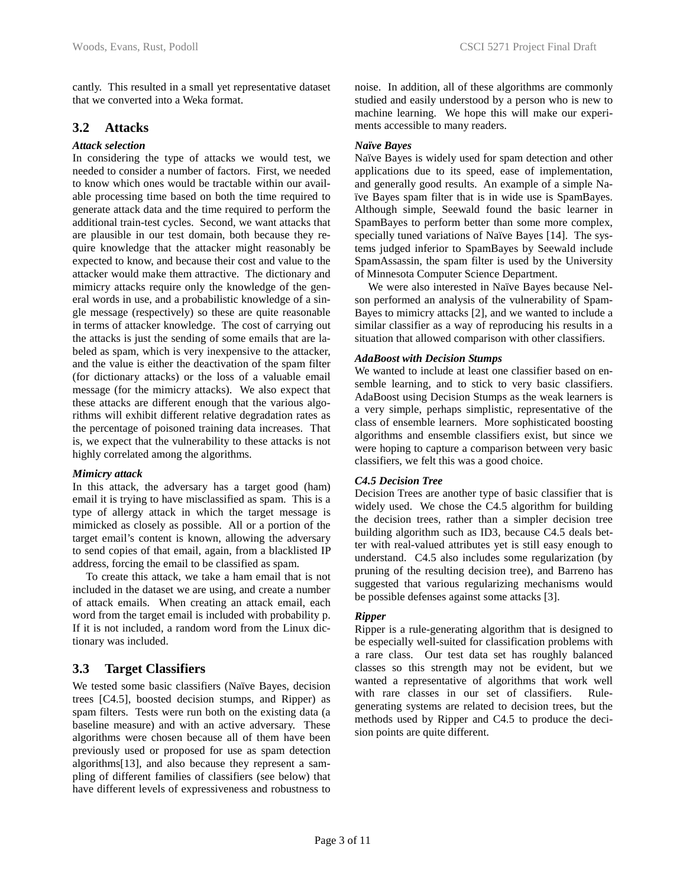### **3.2 Attacks**

#### *Attack selection*

In considering the type of attacks we would test, we needed to consider a number of factors. First, we needed to know which ones would be tractable within our available processing time based on both the time required to generate attack data and the time required to perform the additional train-test cycles. Second, we want attacks that are plausible in our test domain, both because they require knowledge that the attacker might reasonably be expected to know, and because their cost and value to the attacker would make them attractive. The dictionary and mimicry attacks require only the knowledge of the general words in use, and a probabilistic knowledge of a single message (respectively) so these are quite reasonable in terms of attacker knowledge. The cost of carrying out the attacks is just the sending of some emails that are labeled as spam, which is very inexpensive to the attacker, and the value is either the deactivation of the spam filter (for dictionary attacks) or the loss of a valuable email message (for the mimicry attacks). We also expect that these attacks are different enough that the various algorithms will exhibit different relative degradation rates as the percentage of poisoned training data increases. That is, we expect that the vulnerability to these attacks is not highly correlated among the algorithms.

#### *Mimicry attack*

In this attack, the adversary has a target good (ham) email it is trying to have misclassified as spam. This is a type of allergy attack in which the target message is mimicked as closely as possible. All or a portion of the target email's content is known, allowing the adversary to send copies of that email, again, from a blacklisted IP address, forcing the email to be classified as spam.

To create this attack, we take a ham email that is not included in the dataset we are using, and create a number of attack emails. When creating an attack email, each word from the target email is included with probability p. If it is not included, a random word from the Linux dictionary was included.

# **3.3 Target Classifiers**

We tested some basic classifiers (Naïve Bayes, decision trees [C4.5], boosted decision stumps, and Ripper) as spam filters. Tests were run both on the existing data (a baseline measure) and with an active adversary. These algorithms were chosen because all of them have been previously used or proposed for use as spam detection algorithms[13], and also because they represent a sampling of different families of classifiers (see below) that have different levels of expressiveness and robustness to

noise. In addition, all of these algorithms are commonly studied and easily understood by a person who is new to machine learning. We hope this will make our experiments accessible to many readers.

#### *Naïve Bayes*

Naïve Bayes is widely used for spam detection and other applications due to its speed, ease of implementation, and generally good results. An example of a simple Naïve Bayes spam filter that is in wide use is SpamBayes. Although simple, Seewald found the basic learner in SpamBayes to perform better than some more complex, specially tuned variations of Naïve Bayes [14]. The systems judged inferior to SpamBayes by Seewald include SpamAssassin, the spam filter is used by the University of Minnesota Computer Science Department.

We were also interested in Naïve Bayes because Nelson performed an analysis of the vulnerability of Spam-Bayes to mimicry attacks [2], and we wanted to include a similar classifier as a way of reproducing his results in a situation that allowed comparison with other classifiers.

#### *AdaBoost with Decision Stumps*

We wanted to include at least one classifier based on ensemble learning, and to stick to very basic classifiers. AdaBoost using Decision Stumps as the weak learners is a very simple, perhaps simplistic, representative of the class of ensemble learners. More sophisticated boosting algorithms and ensemble classifiers exist, but since we were hoping to capture a comparison between very basic classifiers, we felt this was a good choice.

#### *C4.5 Decision Tree*

Decision Trees are another type of basic classifier that is widely used. We chose the C4.5 algorithm for building the decision trees, rather than a simpler decision tree building algorithm such as ID3, because C4.5 deals better with real-valued attributes yet is still easy enough to understand. C4.5 also includes some regularization (by pruning of the resulting decision tree), and Barreno has suggested that various regularizing mechanisms would be possible defenses against some attacks [3].

#### *Ripper*

Ripper is a rule-generating algorithm that is designed to be especially well-suited for classification problems with a rare class. Our test data set has roughly balanced classes so this strength may not be evident, but we wanted a representative of algorithms that work well with rare classes in our set of classifiers. Rulegenerating systems are related to decision trees, but the methods used by Ripper and C4.5 to produce the decision points are quite different.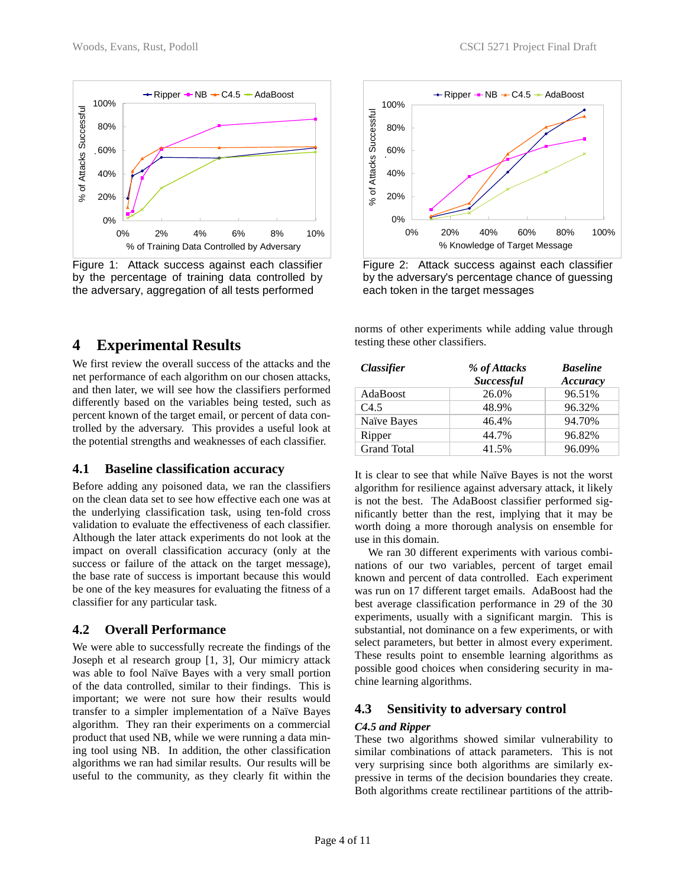

Figure 1: Attack success against each classifier by the percentage of training data controlled by the adversary, aggregation of all tests performed

# **4 Experimental Results**

We first review the overall success of the attacks and the net performance of each algorithm on our chosen attacks, and then later, we will see how the classifiers performed differently based on the variables being tested, such as percent known of the target email, or percent of data controlled by the adversary. This provides a useful look at the potential strengths and weaknesses of each classifier.

#### **4.1 Baseline classification accuracy**

Before adding any poisoned data, we ran the classifiers on the clean data set to see how effective each one was at the underlying classification task, using ten-fold cross validation to evaluate the effectiveness of each classifier. Although the later attack experiments do not look at the impact on overall classification accuracy (only at the success or failure of the attack on the target message), the base rate of success is important because this would be one of the key measures for evaluating the fitness of a classifier for any particular task.

### **4.2 Overall Performance**

We were able to successfully recreate the findings of the Joseph et al research group [1, 3], Our mimicry attack was able to fool Naïve Bayes with a very small portion of the data controlled, similar to their findings. This is important; we were not sure how their results would transfer to a simpler implementation of a Naïve Bayes algorithm. They ran their experiments on a commercial product that used NB, while we were running a data mining tool using NB. In addition, the other classification algorithms we ran had similar results. Our results will be useful to the community, as they clearly fit within the



Figure 2: Attack success against each classifier by the adversary's percentage chance of guessing each token in the target messages

norms of other experiments while adding value through testing these other classifiers.

| <i><b>Classifier</b></i> | % of Attacks<br><b>Successful</b> | <b>Baseline</b><br>Accuracy |
|--------------------------|-----------------------------------|-----------------------------|
| AdaBoost                 | 26.0%                             | 96.51%                      |
| C4.5                     | 48.9%                             | 96.32%                      |
| Naïve Bayes              | 46.4%                             | 94.70%                      |
| Ripper                   | 44.7%                             | 96.82%                      |
| <b>Grand Total</b>       | 41.5%                             | 96.09%                      |

It is clear to see that while Naïve Bayes is not the worst algorithm for resilience against adversary attack, it likely is not the best. The AdaBoost classifier performed significantly better than the rest, implying that it may be worth doing a more thorough analysis on ensemble for use in this domain.

We ran 30 different experiments with various combinations of our two variables, percent of target email known and percent of data controlled. Each experiment was run on 17 different target emails. AdaBoost had the best average classification performance in 29 of the 30 experiments, usually with a significant margin. This is substantial, not dominance on a few experiments, or with select parameters, but better in almost every experiment. These results point to ensemble learning algorithms as possible good choices when considering security in machine learning algorithms.

# **4.3 Sensitivity to adversary control**

#### *C4.5 and Ripper*

These two algorithms showed similar vulnerability to similar combinations of attack parameters. This is not very surprising since both algorithms are similarly expressive in terms of the decision boundaries they create. Both algorithms create rectilinear partitions of the attrib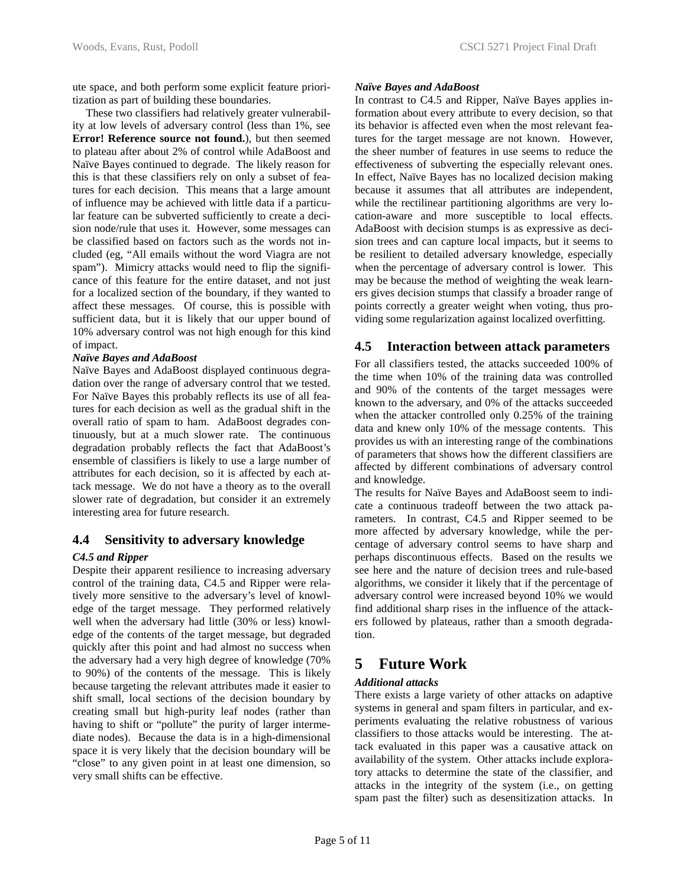ute space, and both perform some explicit feature prioritization as part of building these boundaries.

These two classifiers had relatively greater vulnerability at low levels of adversary control (less than 1%, see **Error! Reference source not found.**), but then seemed to plateau after about 2% of control while AdaBoost and Naïve Bayes continued to degrade. The likely reason for this is that these classifiers rely on only a subset of features for each decision. This means that a large amount of influence may be achieved with little data if a particular feature can be subverted sufficiently to create a decision node/rule that uses it. However, some messages can be classified based on factors such as the words not included (eg, "All emails without the word Viagra are not spam"). Mimicry attacks would need to flip the significance of this feature for the entire dataset, and not just for a localized section of the boundary, if they wanted to affect these messages. Of course, this is possible with sufficient data, but it is likely that our upper bound of 10% adversary control was not high enough for this kind of impact.

#### *Naïve Bayes and AdaBoost*

Naïve Bayes and AdaBoost displayed continuous degradation over the range of adversary control that we tested. For Naïve Bayes this probably reflects its use of all features for each decision as well as the gradual shift in the overall ratio of spam to ham. AdaBoost degrades continuously, but at a much slower rate. The continuous degradation probably reflects the fact that AdaBoost's ensemble of classifiers is likely to use a large number of attributes for each decision, so it is affected by each attack message. We do not have a theory as to the overall slower rate of degradation, but consider it an extremely interesting area for future research.

### **4.4 Sensitivity to adversary knowledge**

#### *C4.5 and Ripper*

Despite their apparent resilience to increasing adversary control of the training data, C4.5 and Ripper were relatively more sensitive to the adversary's level of knowledge of the target message. They performed relatively well when the adversary had little (30% or less) knowledge of the contents of the target message, but degraded quickly after this point and had almost no success when the adversary had a very high degree of knowledge (70% to 90%) of the contents of the message. This is likely because targeting the relevant attributes made it easier to shift small, local sections of the decision boundary by creating small but high-purity leaf nodes (rather than having to shift or "pollute" the purity of larger intermediate nodes). Because the data is in a high-dimensional space it is very likely that the decision boundary will be "close" to any given point in at least one dimension, so very small shifts can be effective.

#### *Naïve Bayes and AdaBoost*

In contrast to C4.5 and Ripper, Naïve Bayes applies information about every attribute to every decision, so that its behavior is affected even when the most relevant features for the target message are not known. However, the sheer number of features in use seems to reduce the effectiveness of subverting the especially relevant ones. In effect, Naïve Bayes has no localized decision making because it assumes that all attributes are independent, while the rectilinear partitioning algorithms are very location-aware and more susceptible to local effects. AdaBoost with decision stumps is as expressive as decision trees and can capture local impacts, but it seems to be resilient to detailed adversary knowledge, especially when the percentage of adversary control is lower. This may be because the method of weighting the weak learners gives decision stumps that classify a broader range of points correctly a greater weight when voting, thus providing some regularization against localized overfitting.

#### **4.5 Interaction between attack parameters**

For all classifiers tested, the attacks succeeded 100% of the time when 10% of the training data was controlled and 90% of the contents of the target messages were known to the adversary, and 0% of the attacks succeeded when the attacker controlled only 0.25% of the training data and knew only 10% of the message contents. This provides us with an interesting range of the combinations of parameters that shows how the different classifiers are affected by different combinations of adversary control and knowledge.

The results for Naïve Bayes and AdaBoost seem to indicate a continuous tradeoff between the two attack parameters. In contrast, C4.5 and Ripper seemed to be more affected by adversary knowledge, while the percentage of adversary control seems to have sharp and perhaps discontinuous effects. Based on the results we see here and the nature of decision trees and rule-based algorithms, we consider it likely that if the percentage of adversary control were increased beyond 10% we would find additional sharp rises in the influence of the attackers followed by plateaus, rather than a smooth degradation.

# **5 Future Work**

#### *Additional attacks*

There exists a large variety of other attacks on adaptive systems in general and spam filters in particular, and experiments evaluating the relative robustness of various classifiers to those attacks would be interesting. The attack evaluated in this paper was a causative attack on availability of the system. Other attacks include exploratory attacks to determine the state of the classifier, and attacks in the integrity of the system (i.e., on getting spam past the filter) such as desensitization attacks. In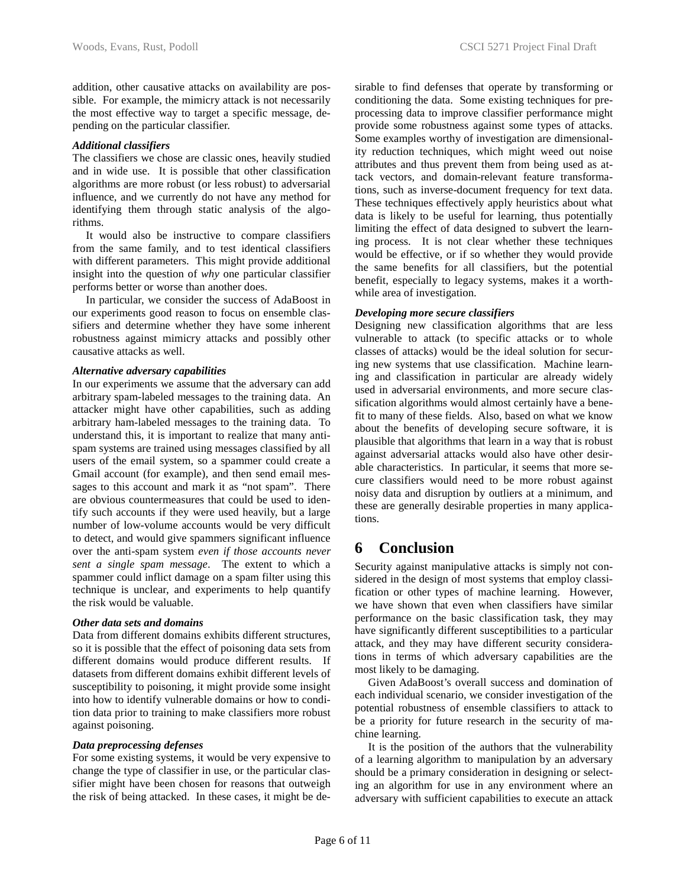addition, other causative attacks on availability are possible. For example, the mimicry attack is not necessarily the most effective way to target a specific message, depending on the particular classifier.

#### *Additional classifiers*

The classifiers we chose are classic ones, heavily studied and in wide use. It is possible that other classification algorithms are more robust (or less robust) to adversarial influence, and we currently do not have any method for identifying them through static analysis of the algorithms.

It would also be instructive to compare classifiers from the same family, and to test identical classifiers with different parameters. This might provide additional insight into the question of *why* one particular classifier performs better or worse than another does.

In particular, we consider the success of AdaBoost in our experiments good reason to focus on ensemble classifiers and determine whether they have some inherent robustness against mimicry attacks and possibly other causative attacks as well.

#### *Alternative adversary capabilities*

In our experiments we assume that the adversary can add arbitrary spam-labeled messages to the training data. An attacker might have other capabilities, such as adding arbitrary ham-labeled messages to the training data. To understand this, it is important to realize that many antispam systems are trained using messages classified by all users of the email system, so a spammer could create a Gmail account (for example), and then send email messages to this account and mark it as "not spam". There are obvious countermeasures that could be used to identify such accounts if they were used heavily, but a large number of low-volume accounts would be very difficult to detect, and would give spammers significant influence over the anti-spam system *even if those accounts never sent a single spam message*. The extent to which a spammer could inflict damage on a spam filter using this technique is unclear, and experiments to help quantify the risk would be valuable.

#### *Other data sets and domains*

Data from different domains exhibits different structures, so it is possible that the effect of poisoning data sets from different domains would produce different results. If datasets from different domains exhibit different levels of susceptibility to poisoning, it might provide some insight into how to identify vulnerable domains or how to condition data prior to training to make classifiers more robust against poisoning.

#### *Data preprocessing defenses*

For some existing systems, it would be very expensive to change the type of classifier in use, or the particular classifier might have been chosen for reasons that outweigh the risk of being attacked. In these cases, it might be desirable to find defenses that operate by transforming or conditioning the data. Some existing techniques for preprocessing data to improve classifier performance might provide some robustness against some types of attacks. Some examples worthy of investigation are dimensionality reduction techniques, which might weed out noise attributes and thus prevent them from being used as attack vectors, and domain-relevant feature transformations, such as inverse-document frequency for text data. These techniques effectively apply heuristics about what data is likely to be useful for learning, thus potentially limiting the effect of data designed to subvert the learning process. It is not clear whether these techniques would be effective, or if so whether they would provide the same benefits for all classifiers, but the potential benefit, especially to legacy systems, makes it a worthwhile area of investigation.

#### *Developing more secure classifiers*

Designing new classification algorithms that are less vulnerable to attack (to specific attacks or to whole classes of attacks) would be the ideal solution for securing new systems that use classification. Machine learning and classification in particular are already widely used in adversarial environments, and more secure classification algorithms would almost certainly have a benefit to many of these fields. Also, based on what we know about the benefits of developing secure software, it is plausible that algorithms that learn in a way that is robust against adversarial attacks would also have other desirable characteristics. In particular, it seems that more secure classifiers would need to be more robust against noisy data and disruption by outliers at a minimum, and these are generally desirable properties in many applications.

# **6 Conclusion**

Security against manipulative attacks is simply not considered in the design of most systems that employ classification or other types of machine learning. However, we have shown that even when classifiers have similar performance on the basic classification task, they may have significantly different susceptibilities to a particular attack, and they may have different security considerations in terms of which adversary capabilities are the most likely to be damaging.

Given AdaBoost's overall success and domination of each individual scenario, we consider investigation of the potential robustness of ensemble classifiers to attack to be a priority for future research in the security of machine learning.

It is the position of the authors that the vulnerability of a learning algorithm to manipulation by an adversary should be a primary consideration in designing or selecting an algorithm for use in any environment where an adversary with sufficient capabilities to execute an attack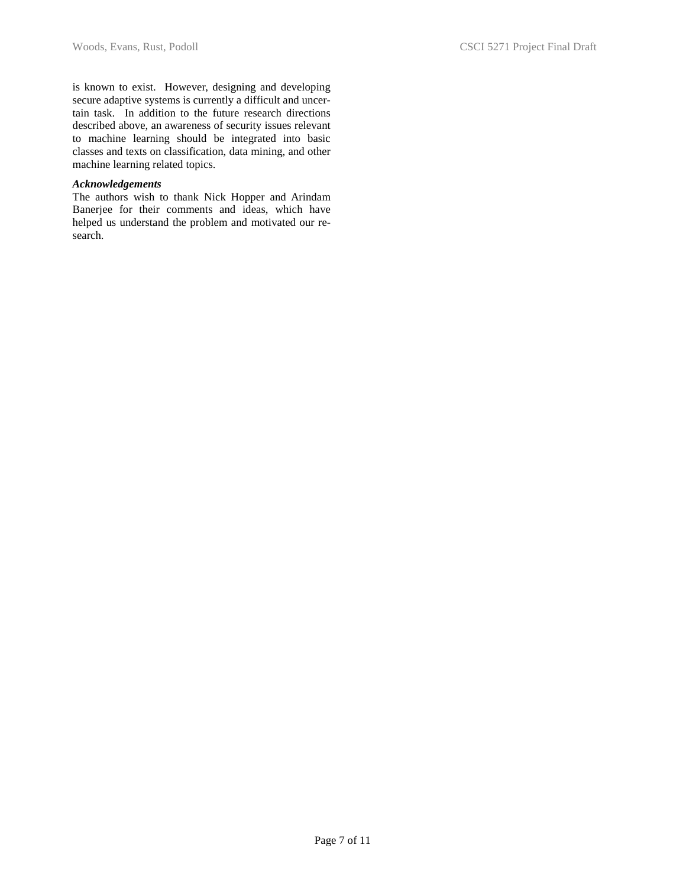is known to exist. However, designing and developing secure adaptive systems is currently a difficult and uncertain task. In addition to the future research directions described above, an awareness of security issues relevant to machine learning should be integrated into basic classes and texts on classification, data mining, and other machine learning related topics.

#### *Acknowledgements*

The authors wish to thank Nick Hopper and Arindam Banerjee for their comments and ideas, which have helped us understand the problem and motivated our research.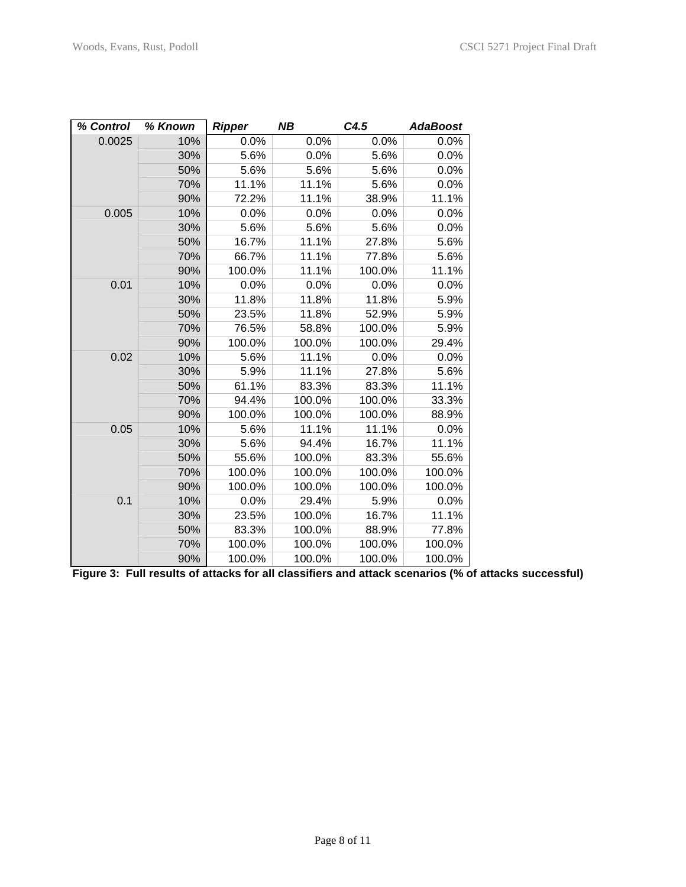| % Control | % Known | <b>Ripper</b> | NΒ     | C4.5   | <b>AdaBoost</b> |
|-----------|---------|---------------|--------|--------|-----------------|
| 0.0025    | 10%     | 0.0%          | 0.0%   | 0.0%   | $0.0\%$         |
|           | 30%     | 5.6%          | 0.0%   | 5.6%   | 0.0%            |
|           | 50%     | 5.6%          | 5.6%   | 5.6%   | 0.0%            |
|           | 70%     | 11.1%         | 11.1%  | 5.6%   | 0.0%            |
|           | 90%     | 72.2%         | 11.1%  | 38.9%  | 11.1%           |
| 0.005     | 10%     | 0.0%          | 0.0%   | 0.0%   | 0.0%            |
|           | 30%     | 5.6%          | 5.6%   | 5.6%   | 0.0%            |
|           | 50%     | 16.7%         | 11.1%  | 27.8%  | 5.6%            |
|           | 70%     | 66.7%         | 11.1%  | 77.8%  | 5.6%            |
|           | 90%     | 100.0%        | 11.1%  | 100.0% | 11.1%           |
| 0.01      | 10%     | 0.0%          | 0.0%   | 0.0%   | 0.0%            |
|           | 30%     | 11.8%         | 11.8%  | 11.8%  | 5.9%            |
|           | 50%     | 23.5%         | 11.8%  | 52.9%  | 5.9%            |
|           | 70%     | 76.5%         | 58.8%  | 100.0% | 5.9%            |
|           | 90%     | 100.0%        | 100.0% | 100.0% | 29.4%           |
| 0.02      | 10%     | 5.6%          | 11.1%  | 0.0%   | 0.0%            |
|           | 30%     | 5.9%          | 11.1%  | 27.8%  | 5.6%            |
|           | 50%     | 61.1%         | 83.3%  | 83.3%  | 11.1%           |
|           | 70%     | 94.4%         | 100.0% | 100.0% | 33.3%           |
|           | 90%     | 100.0%        | 100.0% | 100.0% | 88.9%           |
| 0.05      | 10%     | 5.6%          | 11.1%  | 11.1%  | 0.0%            |
|           | 30%     | 5.6%          | 94.4%  | 16.7%  | 11.1%           |
|           | 50%     | 55.6%         | 100.0% | 83.3%  | 55.6%           |
|           | 70%     | 100.0%        | 100.0% | 100.0% | 100.0%          |
|           | 90%     | 100.0%        | 100.0% | 100.0% | 100.0%          |
| 0.1       | 10%     | 0.0%          | 29.4%  | 5.9%   | 0.0%            |
|           | 30%     | 23.5%         | 100.0% | 16.7%  | 11.1%           |
|           | 50%     | 83.3%         | 100.0% | 88.9%  | 77.8%           |
|           | 70%     | 100.0%        | 100.0% | 100.0% | 100.0%          |
|           | 90%     | 100.0%        | 100.0% | 100.0% | 100.0%          |

**Figure 3: Full results of attacks for all classifiers and attack scenarios (% of attacks successful)**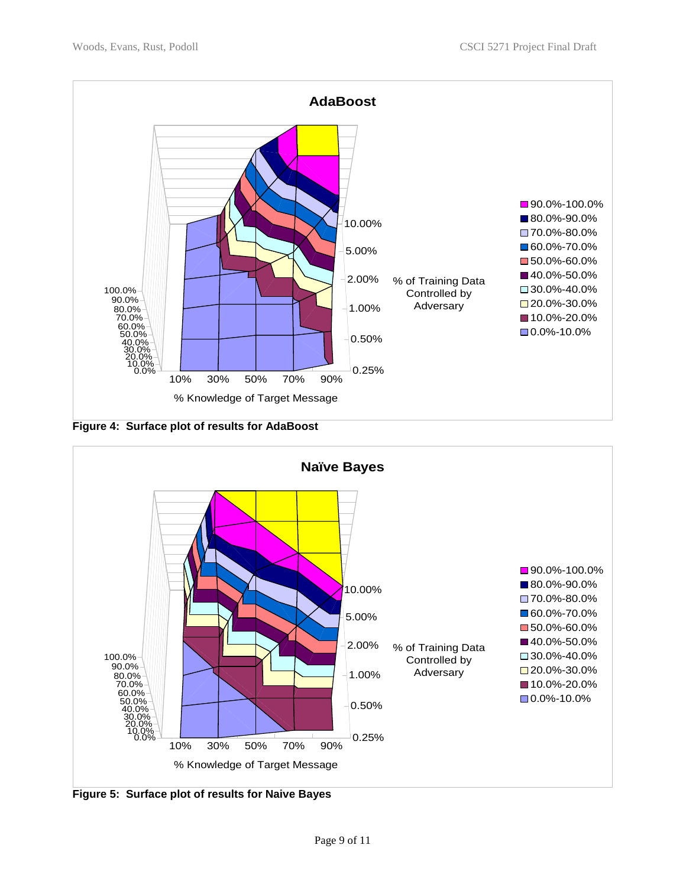

**Figure 4: Surface plot of results for AdaBoost** 



**Figure 5: Surface plot of results for Naive Bayes**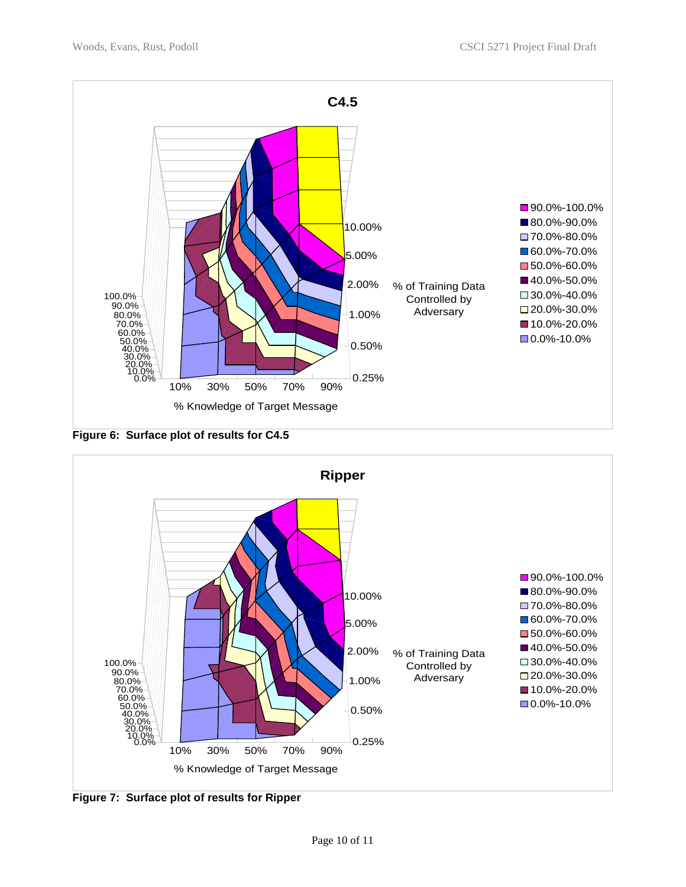

**Figure 6: Surface plot of results for C4.5** 



**Figure 7: Surface plot of results for Ripper**